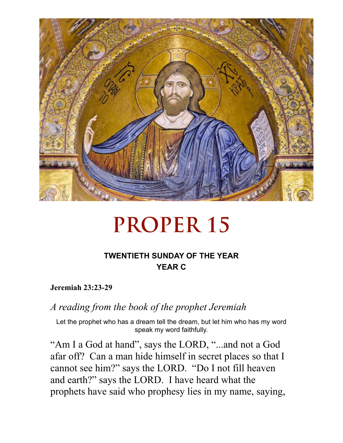

# **PROPER 15**

### **TWENTIETH SUNDAY OF THE YEAR YEAR C**

**Jeremiah 23:23-29** 

*A reading from the book of the prophet Jeremiah* 

Let the prophet who has a dream tell the dream, but let him who has my word speak my word faithfully.

"Am I a God at hand", says the LORD, "...and not a God afar off? Can a man hide himself in secret places so that I cannot see him?" says the LORD. "Do I not fill heaven and earth?" says the LORD. I have heard what the prophets have said who prophesy lies in my name, saying,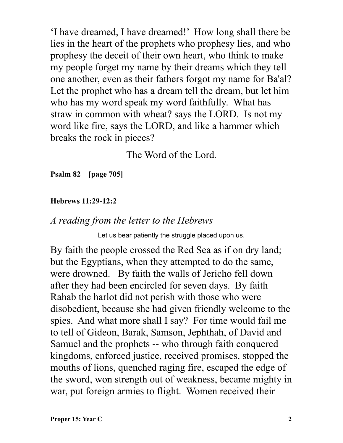'I have dreamed, I have dreamed!' How long shall there be lies in the heart of the prophets who prophesy lies, and who prophesy the deceit of their own heart, who think to make my people forget my name by their dreams which they tell one another, even as their fathers forgot my name for Ba'al? Let the prophet who has a dream tell the dream, but let him who has my word speak my word faithfully. What has straw in common with wheat? says the LORD. Is not my word like fire, says the LORD, and like a hammer which breaks the rock in pieces?

The Word of the Lord.

**Psalm 82 [page 705]** 

#### **Hebrews 11:29-12:2**

#### *A reading from the letter to the Hebrews*

Let us bear patiently the struggle placed upon us.

By faith the people crossed the Red Sea as if on dry land; but the Egyptians, when they attempted to do the same, were drowned. By faith the walls of Jericho fell down after they had been encircled for seven days. By faith Rahab the harlot did not perish with those who were disobedient, because she had given friendly welcome to the spies. And what more shall I say? For time would fail me to tell of Gideon, Barak, Samson, Jephthah, of David and Samuel and the prophets -- who through faith conquered kingdoms, enforced justice, received promises, stopped the mouths of lions, quenched raging fire, escaped the edge of the sword, won strength out of weakness, became mighty in war, put foreign armies to flight. Women received their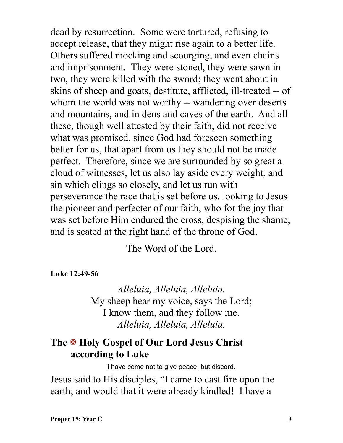dead by resurrection. Some were tortured, refusing to accept release, that they might rise again to a better life. Others suffered mocking and scourging, and even chains and imprisonment. They were stoned, they were sawn in two, they were killed with the sword; they went about in skins of sheep and goats, destitute, afflicted, ill-treated -- of whom the world was not worthy -- wandering over deserts and mountains, and in dens and caves of the earth. And all these, though well attested by their faith, did not receive what was promised, since God had foreseen something better for us, that apart from us they should not be made perfect. Therefore, since we are surrounded by so great a cloud of witnesses, let us also lay aside every weight, and sin which clings so closely, and let us run with perseverance the race that is set before us, looking to Jesus the pioneer and perfecter of our faith, who for the joy that was set before Him endured the cross, despising the shame, and is seated at the right hand of the throne of God.

The Word of the Lord.

**Luke 12:49-56** 

*Alleluia, Alleluia, Alleluia.*  My sheep hear my voice, says the Lord; I know them, and they follow me. *Alleluia, Alleluia, Alleluia.*

## **The** X **Holy Gospel of Our Lord Jesus Christ according to Luke**

I have come not to give peace, but discord.

Jesus said to His disciples, "I came to cast fire upon the earth; and would that it were already kindled! I have a